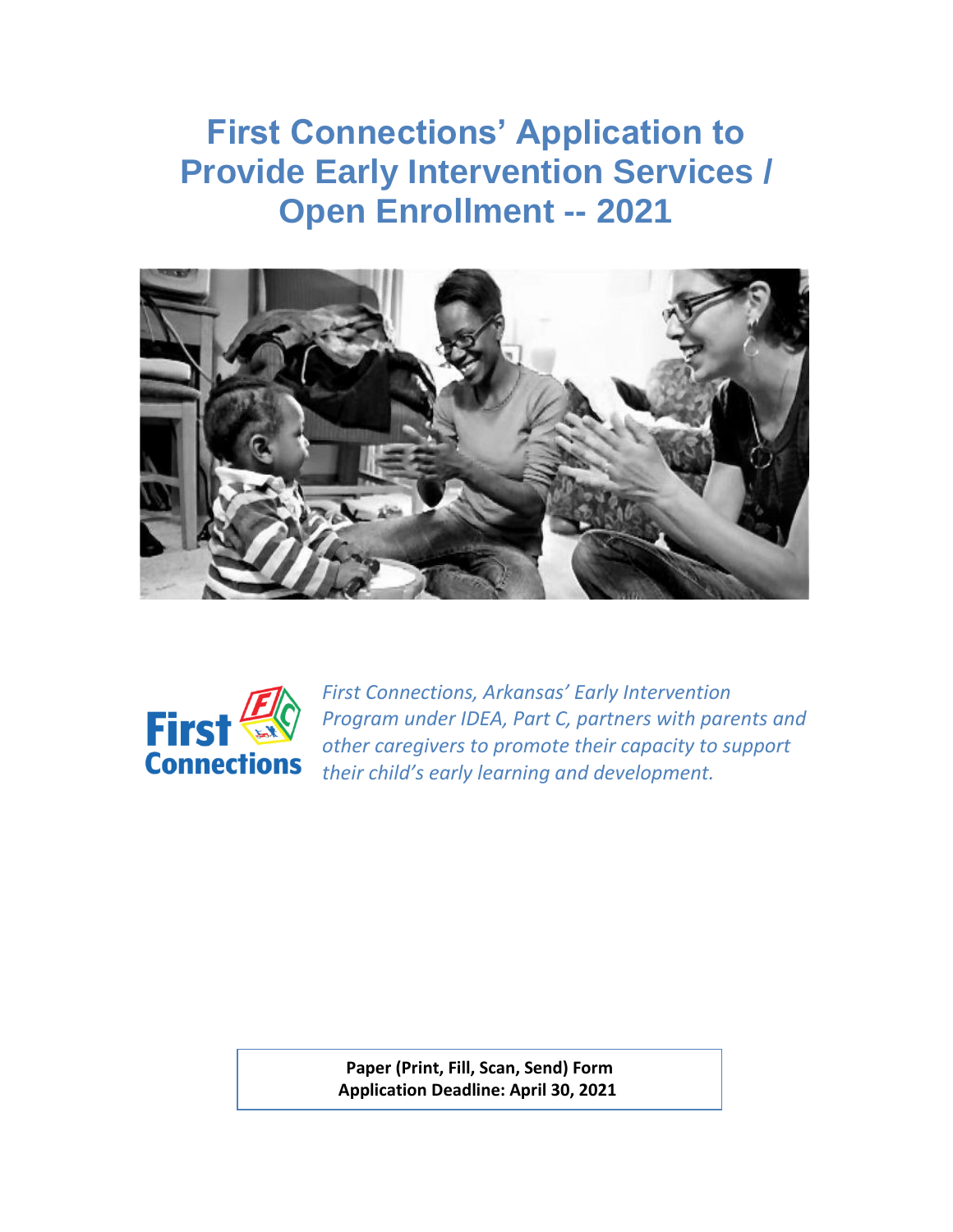**First Connections' Application to Provide Early Intervention Services / Open Enrollment -- 2021**





*First Connections, Arkansas' Early Intervention Program under IDEA, Part C, partners with parents and other caregivers to promote their capacity to support their child's early learning and development.*

**Paper (Print, Fill, Scan, Send) Form Application Deadline: April 30, 2021**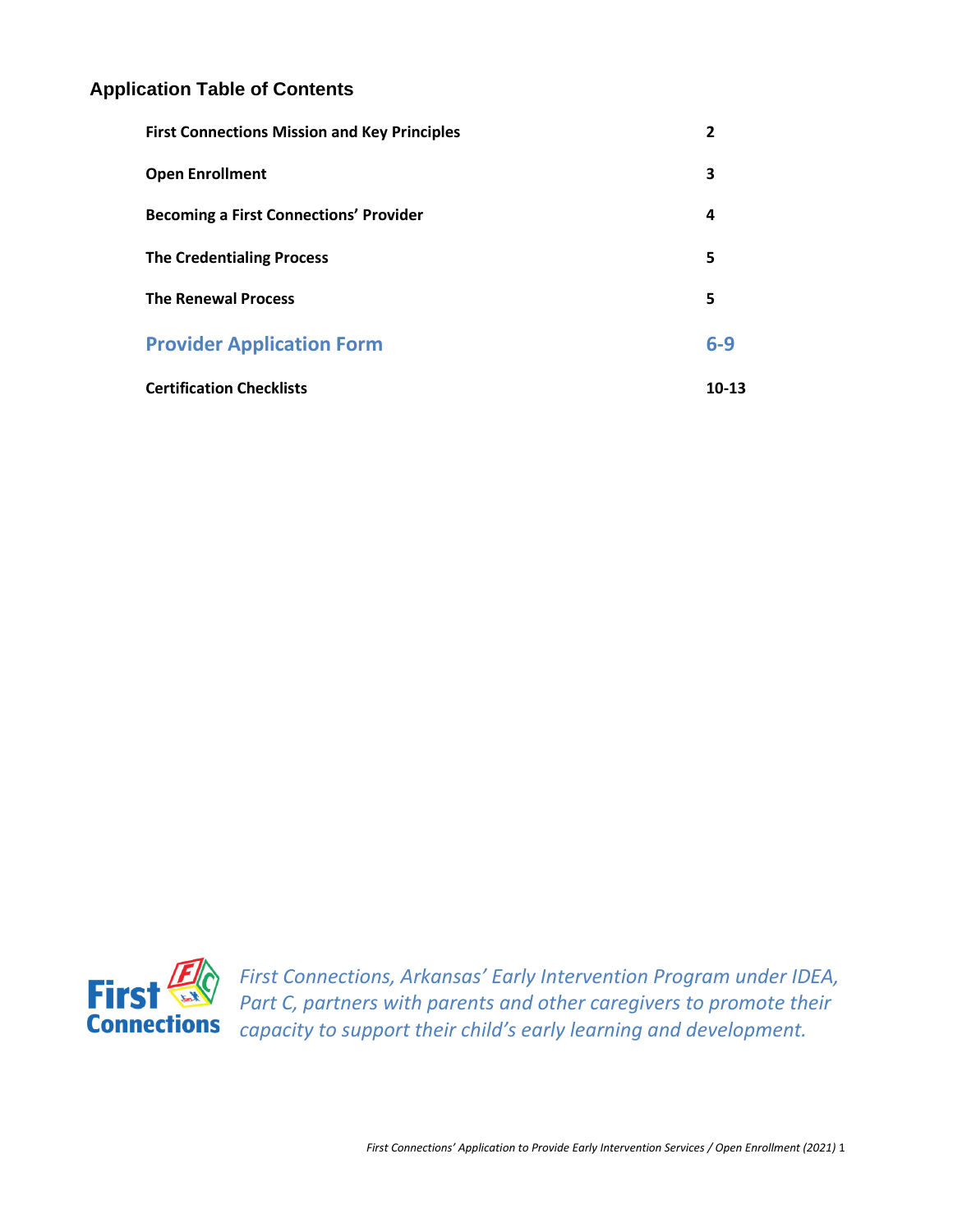### **Application Table of Contents**

| <b>First Connections Mission and Key Principles</b> | 2     |
|-----------------------------------------------------|-------|
| <b>Open Enrollment</b>                              | 3     |
| <b>Becoming a First Connections' Provider</b>       | 4     |
| <b>The Credentialing Process</b>                    | 5     |
| <b>The Renewal Process</b>                          | 5     |
| <b>Provider Application Form</b>                    | $6-9$ |
| <b>Certification Checklists</b>                     | 10-13 |



*First Connections, Arkansas' Early Intervention Program under IDEA,*  Part C, partners with parents and other caregivers to promote their *capacity to support their child's early learning and development.*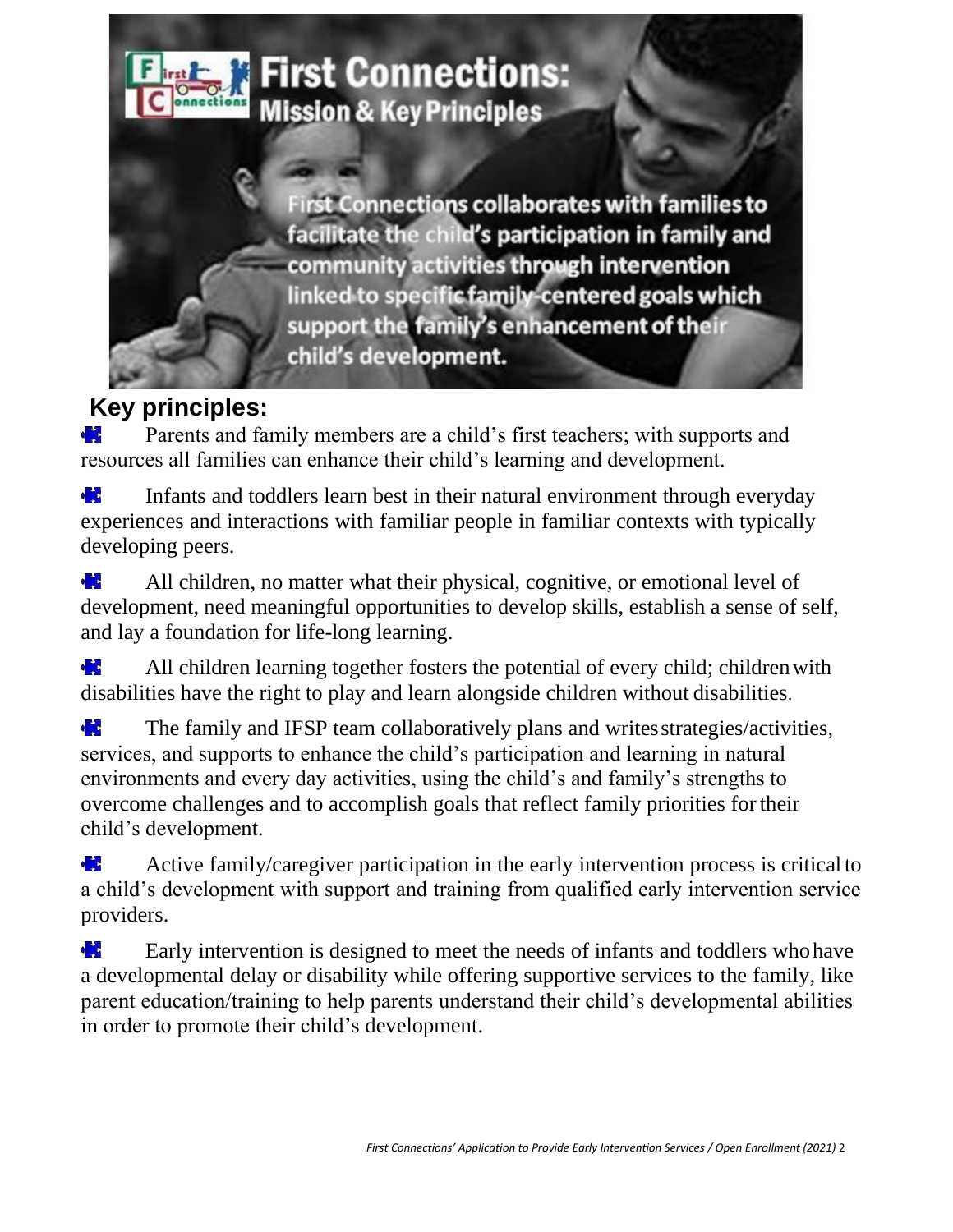

# **Key principles:**

Parents and family members are a child's first teachers; with supports and **Alt** resources all families can enhance their child's learning and development.

**Part** Infants and toddlers learn best in their natural environment through everyday experiences and interactions with familiar people in familiar contexts with typically developing peers.

de la p All children, no matter what their physical, cognitive, or emotional level of development, need meaningful opportunities to develop skills, establish a sense of self, and lay a foundation for life-long learning.

d in 1999.<br>En 1999 All children learning together fosters the potential of every child; children with disabilities have the right to play and learn alongside children without disabilities.

The family and IFSP team collaboratively plans and writesstrategies/activities, a<mark>r S</mark> services, and supports to enhance the child's participation and learning in natural environments and every day activities, using the child's and family's strengths to overcome challenges and to accomplish goals that reflect family priorities fortheir child's development.

d in Active family/caregiver participation in the early intervention process is critical to a child's development with support and training from qualified early intervention service providers.

de la provincia de la provincia de la provincia de la provincia de la provincia de la provincia de la provinci<br>De la provincia de la provincia de la provincia de la provincia de la provincia de la provincia de la provinci Early intervention is designed to meet the needs of infants and toddlers whohave a developmental delay or disability while offering supportive services to the family, like parent education/training to help parents understand their child's developmental abilities in order to promote their child's development.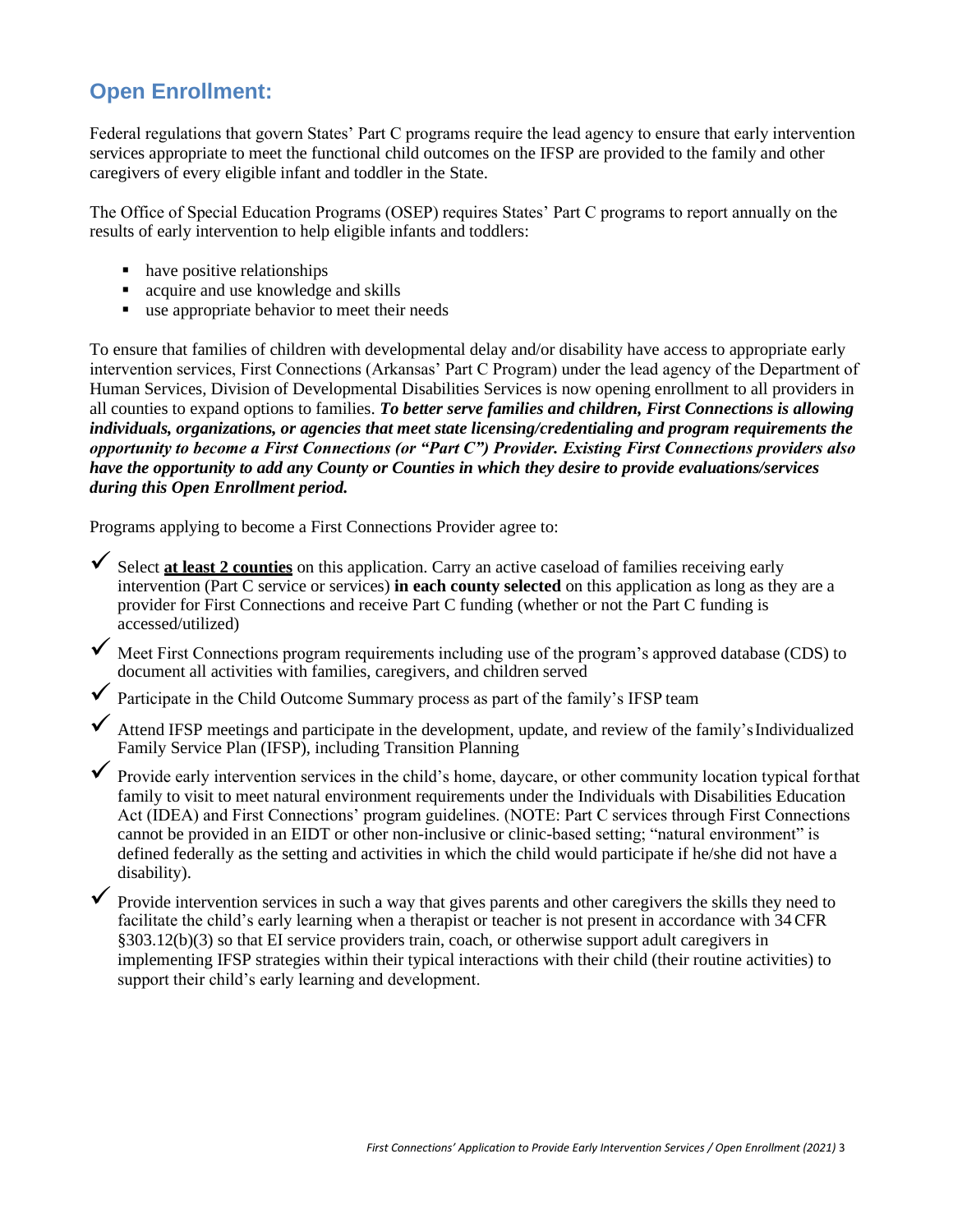# <span id="page-3-0"></span>**Open Enrollment:**

Federal regulations that govern States' Part C programs require the lead agency to ensure that early intervention services appropriate to meet the functional child outcomes on the IFSP are provided to the family and other caregivers of every eligible infant and toddler in the State.

The Office of Special Education Programs (OSEP) requires States' Part C programs to report annually on the results of early intervention to help eligible infants and toddlers:

- have positive relationships
- acquire and use knowledge and skills
- use appropriate behavior to meet their needs

To ensure that families of children with developmental delay and/or disability have access to appropriate early intervention services, First Connections (Arkansas' Part C Program) under the lead agency of the Department of Human Services, Division of Developmental Disabilities Services is now opening enrollment to all providers in all counties to expand options to families. *To better serve families and children, First Connections is allowing individuals, organizations, or agencies that meet state licensing/credentialing and program requirements the opportunity to become a First Connections (or "Part C") Provider. Existing First Connections providers also have the opportunity to add any County or Counties in which they desire to provide evaluations/services during this Open Enrollment period.*

Programs applying to become a First Connections Provider agree to:

✓ Select **at least 2 counties** on this application. Carry an active caseload of families receiving early intervention (Part C service or services) **in each county selected** on this application as long as they are a provider for First Connections and receive Part C funding (whether or not the Part C funding is accessed/utilized)

✓ Meet First Connections program requirements including use of the program's approved database (CDS) to document all activities with families, caregivers, and children served

- $\checkmark$  Participate in the Child Outcome Summary process as part of the family's IFSP team
- $\blacklozenge$  Attend IFSP meetings and participate in the development, update, and review of the family's Individualized Family Service Plan (IFSP), including Transition Planning

✓ Provide early intervention services in the child's home, daycare, or other community location typical forthat family to visit to meet natural environment requirements under the Individuals with Disabilities Education Act (IDEA) and First Connections' program guidelines. (NOTE: Part C services through First Connections cannot be provided in an EIDT or other non-inclusive or clinic-based setting; "natural environment" is defined federally as the setting and activities in which the child would participate if he/she did not have a disability).

Provide intervention services in such a way that gives parents and other caregivers the skills they need to facilitate the child's early learning when a therapist or teacher is not present in accordance with 34CFR §303.12(b)(3) so that EI service providers train, coach, or otherwise support adult caregivers in implementing IFSP strategies within their typical interactions with their child (their routine activities) to support their child's early learning and development.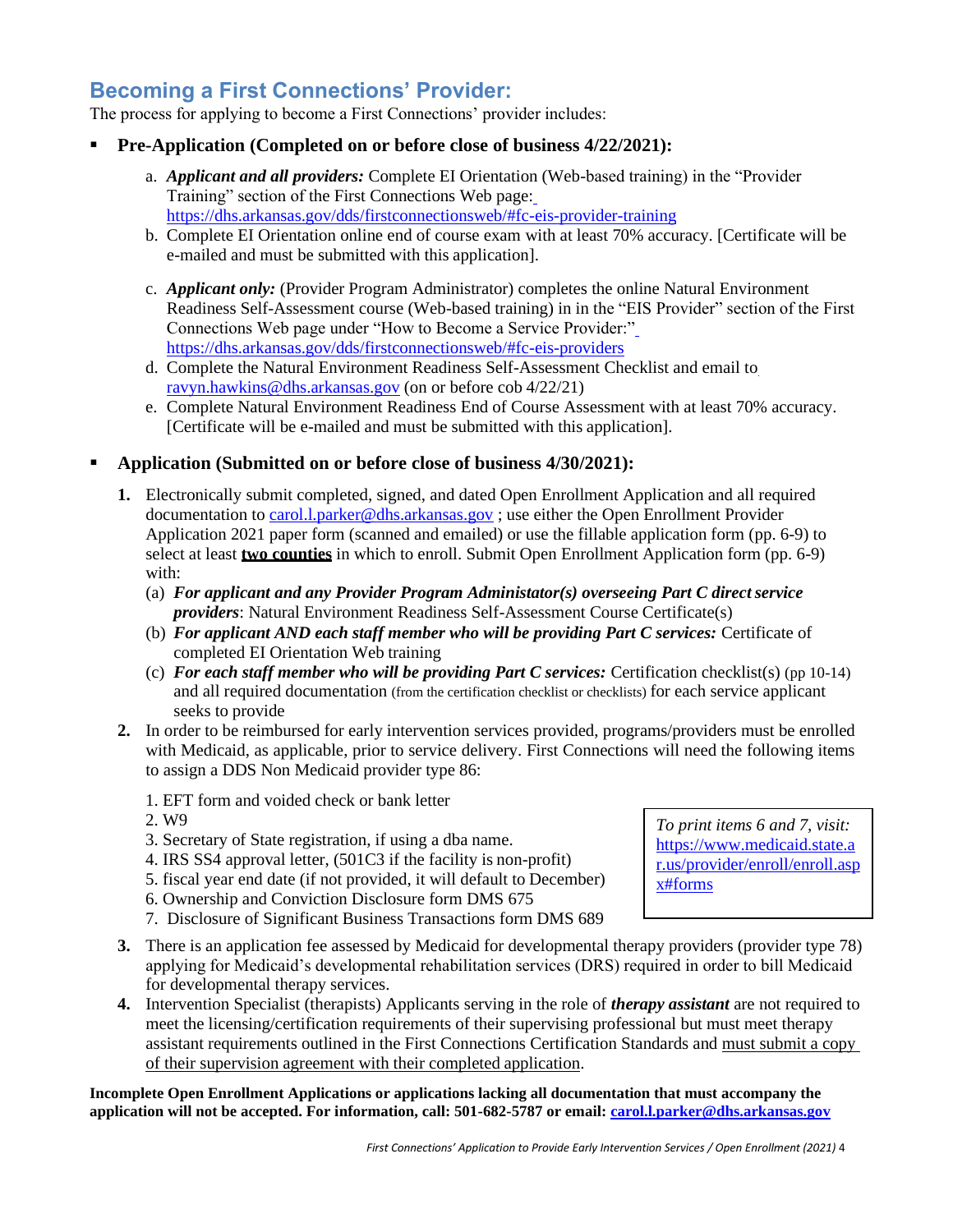# <span id="page-4-0"></span>**Becoming a First Connections' Provider:**

The process for applying to become a First Connections' provider includes:

- **Pre-Application (Completed on or before close of business 4/22/2021):**
	- a. *Applicant and all providers:* Complete EI Orientation (Web-based training) in the "Provider Training" section of the First Connections Web page: <https://dhs.arkansas.gov/dds/firstconnectionsweb/#fc-eis-provider-training>
	- b. Complete EI Orientation online end of course exam with at least 70% accuracy. [Certificate will be e-mailed and must be submitted with this application].
	- c. *Applicant only:* (Provider Program Administrator) completes the online Natural Environment Readiness Self-Assessment course (Web-based training) in in the "EIS Provider" section of the First Connections Web page under "How to Become a Service Provider:" <https://dhs.arkansas.gov/dds/firstconnectionsweb/#fc-eis-providers>
	- d. Complete the Natural Environment Readiness Self-Assessment Checklist and email t[o](mailto:ravyn.hawkins@dhs.arkansas.gov) [ravyn.hawkins@dhs.arkansas.gov](mailto:ravyn.hawkins@dhs.arkansas.gov) (on or before cob 4/22/21)
	- e. Complete Natural Environment Readiness End of Course Assessment with at least 70% accuracy. [Certificate will be e-mailed and must be submitted with this application].

#### ▪ **Application (Submitted on or before close of business 4/30/2021):**

- **1.** Electronically submit completed, signed, and dated Open Enrollment Application and all required documentation to [carol.l.parker@dhs.arkansas.gov](mailto:carol.l.parker@dhs.arkansas.gov) ; use either the Open Enrollment Provider Application 2021 paper form (scanned and emailed) or use the fillable application form (pp. 6-9) to select at least **two counties** in which to enroll. Submit Open Enrollment Application form (pp. 6-9) with:
	- (a) *For applicant and any Provider Program Administator(s) overseeing Part C directservice providers*: Natural Environment Readiness Self-Assessment Course Certificate(s)
	- (b) *For applicant AND each staff member who will be providing Part C services:* Certificate of completed EI Orientation Web training
	- (c) *For each staff member who will be providing Part C services:* Certification checklist(s) (pp 10-14) and all required documentation (from the certification checklist or checklists) for each service applicant seeks to provide
- **2.** In order to be reimbursed for early intervention services provided, programs/providers must be enrolled with Medicaid, as applicable, prior to service delivery. First Connections will need the following items to assign a DDS Non Medicaid provider type 86:
	- 1. EFT form and voided check or bank letter
	- 2. W9
	- 3. Secretary of State registration, if using a dba name.
	- 4. IRS SS4 approval letter, (501C3 if the facility is non-profit)
	- 5. fiscal year end date (if not provided, it will default to December)
	- 6. Ownership and Conviction Disclosure form DMS 675
	- 7. Disclosure of Significant Business Transactions form DMS 689
- **3.** There is an application fee assessed by Medicaid for developmental therapy providers (provider type 78) applying for Medicaid's developmental rehabilitation services (DRS) required in order to bill Medicaid for developmental therapy services.
- **4.** Intervention Specialist (therapists) Applicants serving in the role of *therapy assistant* are not required to meet the licensing/certification requirements of their supervising professional but must meet therapy assistant requirements outlined in the First Connections Certification Standards and must submit a copy of their supervision agreement with their completed application.

**Incomplete Open Enrollment Applications or applications lacking all documentation that must accompany the application will not be accepted. For information, call: 501-682-5787 or email: [carol.l.parker@dhs.arkansas.gov](mailto:carol.l.parker@dhs.arkansas.gov)**

*To print items 6 and 7, visit:* [https://www.medicaid.state.a](https://www.medicaid.state.ar.us/provider/enroll/enroll.aspx#forms) [r.us/provider/enroll/enroll.asp](https://www.medicaid.state.ar.us/provider/enroll/enroll.aspx#forms) [x#forms](https://www.medicaid.state.ar.us/provider/enroll/enroll.aspx#forms)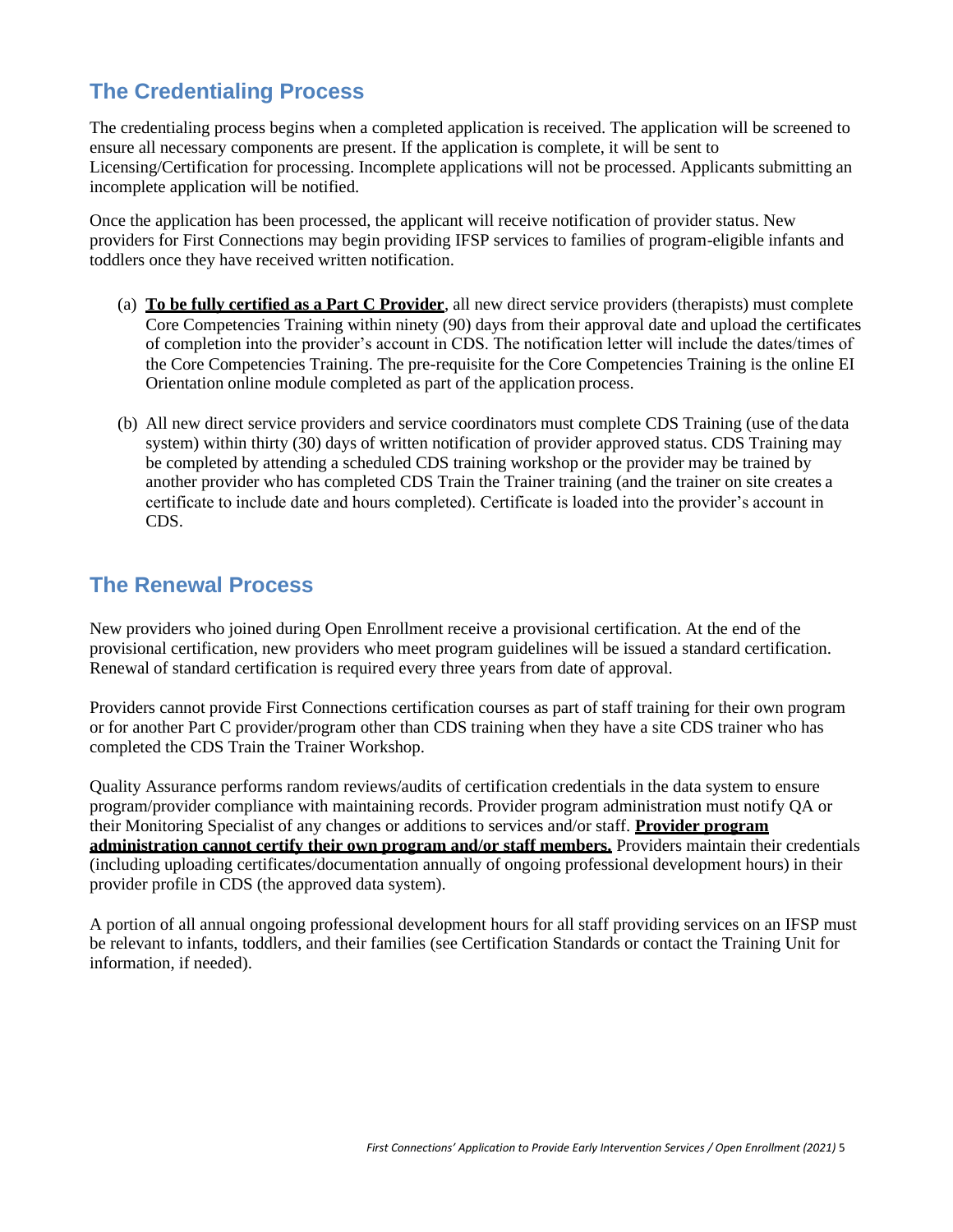# <span id="page-5-0"></span>**The Credentialing Process**

The credentialing process begins when a completed application is received. The application will be screened to ensure all necessary components are present. If the application is complete, it will be sent to Licensing/Certification for processing. Incomplete applications will not be processed. Applicants submitting an incomplete application will be notified.

Once the application has been processed, the applicant will receive notification of provider status. New providers for First Connections may begin providing IFSP services to families of program-eligible infants and toddlers once they have received written notification.

- (a) **To be fully certified as a Part C Provider**, all new direct service providers (therapists) must complete Core Competencies Training within ninety (90) days from their approval date and upload the certificates of completion into the provider's account in CDS. The notification letter will include the dates/times of the Core Competencies Training. The pre-requisite for the Core Competencies Training is the online EI Orientation online module completed as part of the application process.
- (b) All new direct service providers and service coordinators must complete CDS Training (use of the data system) within thirty (30) days of written notification of provider approved status. CDS Training may be completed by attending a scheduled CDS training workshop or the provider may be trained by another provider who has completed CDS Train the Trainer training (and the trainer on site creates a certificate to include date and hours completed). Certificate is loaded into the provider's account in CDS.

# <span id="page-5-1"></span>**The Renewal Process**

New providers who joined during Open Enrollment receive a provisional certification. At the end of the provisional certification, new providers who meet program guidelines will be issued a standard certification. Renewal of standard certification is required every three years from date of approval.

Providers cannot provide First Connections certification courses as part of staff training for their own program or for another Part C provider/program other than CDS training when they have a site CDS trainer who has completed the CDS Train the Trainer Workshop.

Quality Assurance performs random reviews/audits of certification credentials in the data system to ensure program/provider compliance with maintaining records. Provider program administration must notify QA or their Monitoring Specialist of any changes or additions to services and/or staff. **Provider program administration cannot certify their own program and/or staff members.** Providers maintain their credentials (including uploading certificates/documentation annually of ongoing professional development hours) in their provider profile in CDS (the approved data system).

A portion of all annual ongoing professional development hours for all staff providing services on an IFSP must be relevant to infants, toddlers, and their families (see Certification Standards or contact the Training Unit for information, if needed).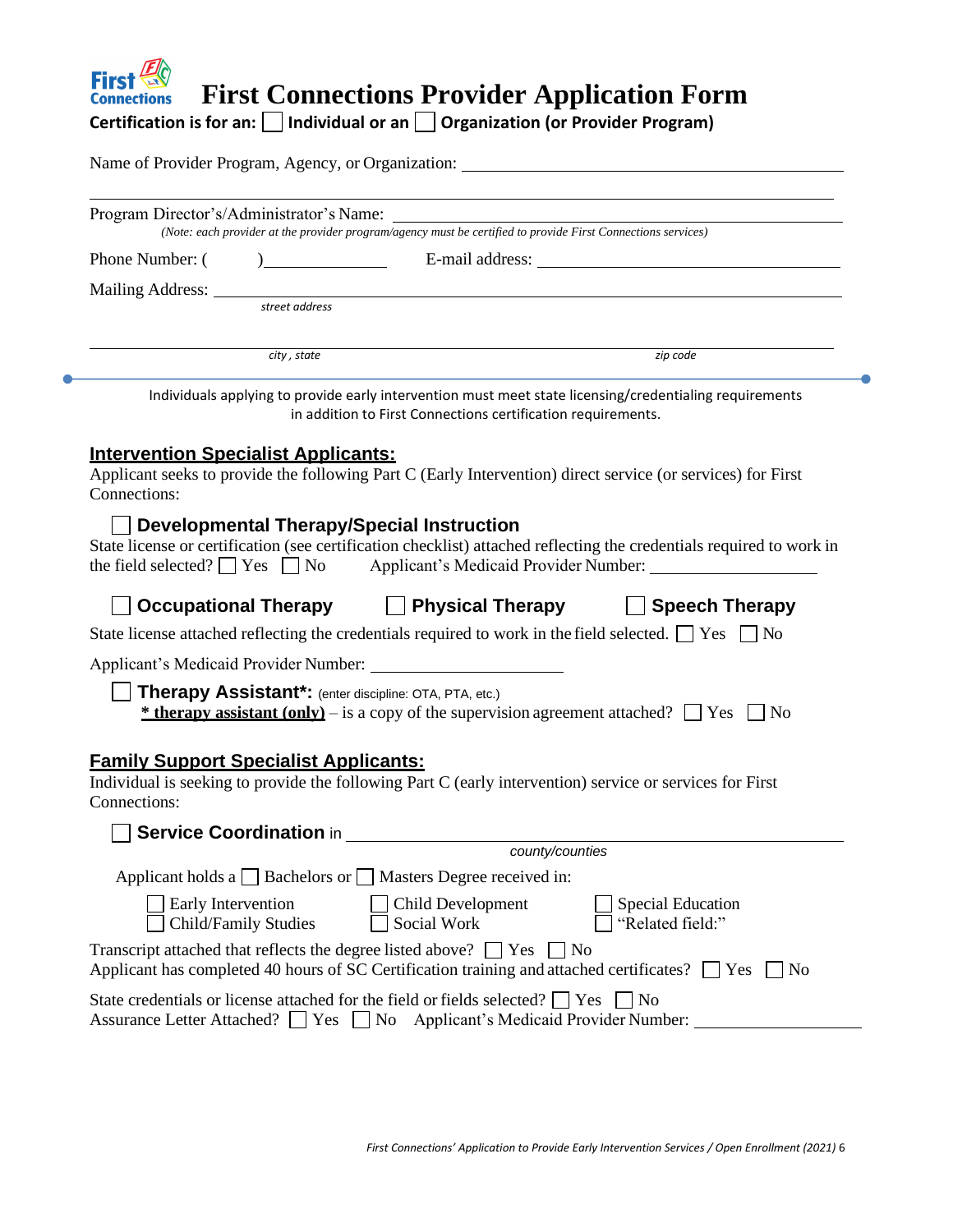|                    |                                                                                                  | Name of Provider Program, Agency, or Organization: _____________________________                                                                                                                                                                                                                                                                             |
|--------------------|--------------------------------------------------------------------------------------------------|--------------------------------------------------------------------------------------------------------------------------------------------------------------------------------------------------------------------------------------------------------------------------------------------------------------------------------------------------------------|
|                    |                                                                                                  | Program Director's/Administrator's Name:<br>(Note: each provider at the provider program/agency must be certified to provide First Connections services)                                                                                                                                                                                                     |
|                    |                                                                                                  |                                                                                                                                                                                                                                                                                                                                                              |
|                    |                                                                                                  |                                                                                                                                                                                                                                                                                                                                                              |
|                    |                                                                                                  | Mailing Address:<br>street address street and a street and a street and a street and a street and a street and a street and a street and a street and a street and a street and a street and a street and a street and a street                                                                                                                              |
|                    |                                                                                                  |                                                                                                                                                                                                                                                                                                                                                              |
|                    | city, state                                                                                      | zip code                                                                                                                                                                                                                                                                                                                                                     |
|                    |                                                                                                  | Individuals applying to provide early intervention must meet state licensing/credentialing requirements<br>in addition to First Connections certification requirements.                                                                                                                                                                                      |
|                    |                                                                                                  |                                                                                                                                                                                                                                                                                                                                                              |
|                    |                                                                                                  | <b>Developmental Therapy/Special Instruction</b><br>State license or certification (see certification checklist) attached reflecting the credentials required to work in<br>the field selected? $\Box$ Yes $\Box$ No Applicant's Medicaid Provider Number: $\Box$<br>$\Box$ Occupational Therapy $\hfill \Box$ Physical Therapy $\hfill \Box$ Speech Therapy |
|                    |                                                                                                  | State license attached reflecting the credentials required to work in the field selected. $\Box$ Yes $\Box$ No                                                                                                                                                                                                                                               |
|                    | Applicant's Medicaid Provider Number:                                                            |                                                                                                                                                                                                                                                                                                                                                              |
|                    | Therapy Assistant*: (enter discipline: OTA, PTA, etc.)                                           | <b><u>* therapy assistant (only)</u></b> – is a copy of the supervision agreement attached? $\Box$ Yes $\Box$ No                                                                                                                                                                                                                                             |
|                    | <b>Family Support Specialist Applicants:</b>                                                     | Individual is seeking to provide the following Part C (early intervention) service or services for First                                                                                                                                                                                                                                                     |
|                    |                                                                                                  |                                                                                                                                                                                                                                                                                                                                                              |
|                    |                                                                                                  |                                                                                                                                                                                                                                                                                                                                                              |
| Early Intervention | Applicant holds a $\Box$ Bachelors or $\Box$ Masters Degree received in:<br>Child/Family Studies | Child Development<br>Special Education<br>"Related field:"<br>Social Work                                                                                                                                                                                                                                                                                    |
| Connections:       | Transcript attached that reflects the degree listed above? $\Box$ Yes $\Box$ No                  | Applicant has completed 40 hours of SC Certification training and attached certificates? $\Box$ Yes $\Box$ No                                                                                                                                                                                                                                                |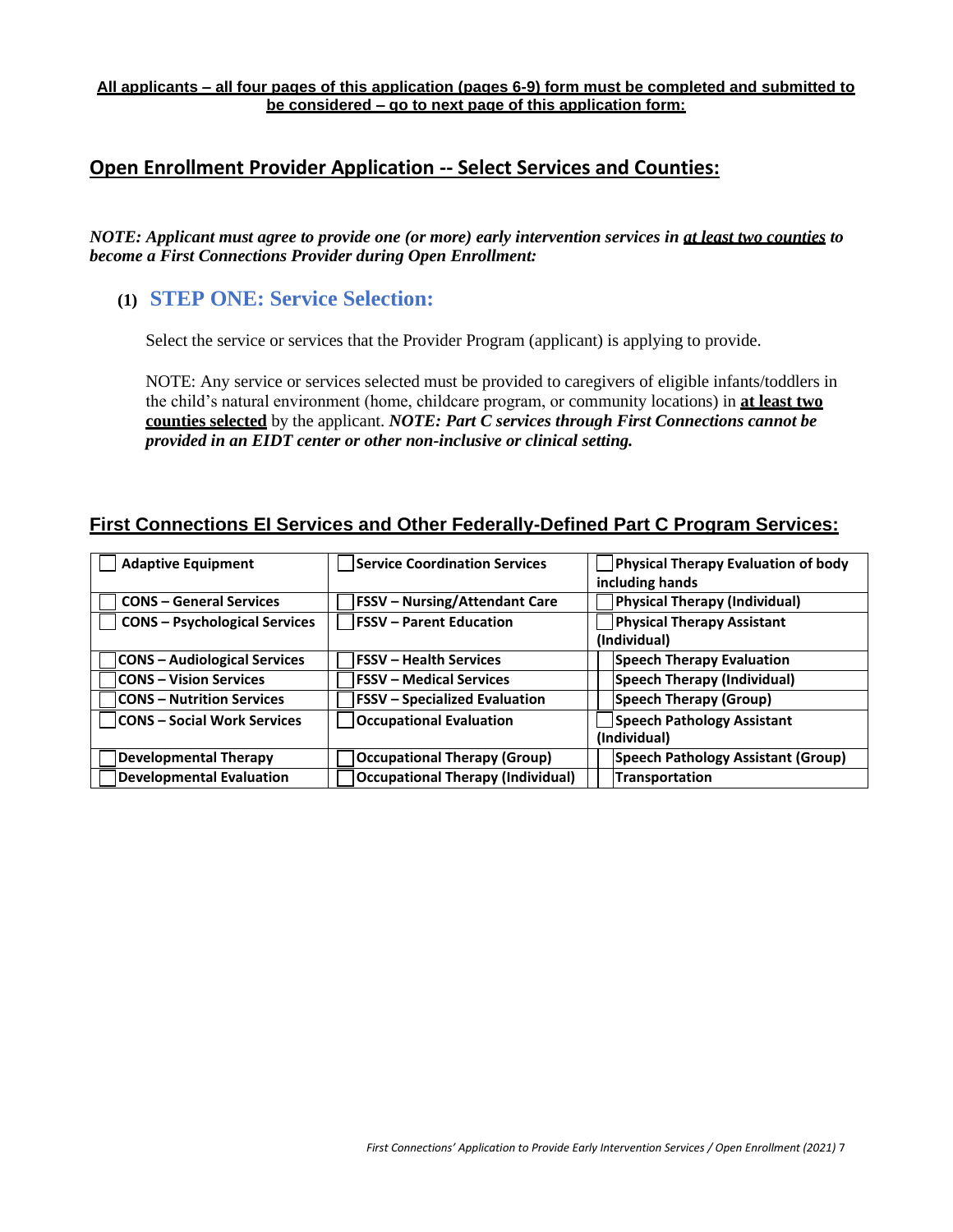#### **All applicants – all four pages of this application (pages 6-9) form must be completed and submitted to be considered – go to next page of this application form:**

### **Open Enrollment Provider Application -- Select Services and Counties:**

*NOTE: Applicant must agree to provide one (or more) early intervention services in at least two counties to become a First Connections Provider during Open Enrollment:*

### **(1) STEP ONE: Service Selection:**

Select the service or services that the Provider Program (applicant) is applying to provide.

NOTE: Any service or services selected must be provided to caregivers of eligible infants/toddlers in the child's natural environment (home, childcare program, or community locations) in **at least two counties selected** by the applicant. *NOTE: Part C services through First Connections cannot be provided in an EIDT center or other non-inclusive or clinical setting.*

#### **First Connections EI Services and Other Federally-Defined Part C Program Services:**

| <b>Adaptive Equipment</b>            | <b>Service Coordination Services</b>     | <b>Physical Therapy Evaluation of body</b> |
|--------------------------------------|------------------------------------------|--------------------------------------------|
|                                      |                                          | including hands                            |
| <b>CONS - General Services</b>       | <b>FSSV</b> - Nursing/Attendant Care     | Physical Therapy (Individual)              |
| <b>CONS - Psychological Services</b> | <b>IFSSV</b> – Parent Education          | <b>Physical Therapy Assistant</b>          |
|                                      |                                          | (Individual)                               |
| <b>CONS</b> – Audiological Services  | <b>FSSV - Health Services</b>            | <b>Speech Therapy Evaluation</b>           |
| <b>CONS - Vision Services</b>        | <b>FSSV - Medical Services</b>           | Speech Therapy (Individual)                |
| <b>CONS - Nutrition Services</b>     | <b>FSSV</b> – Specialized Evaluation     | Speech Therapy (Group)                     |
| <b>CONS - Social Work Services</b>   | <b>Occupational Evaluation</b>           | Speech Pathology Assistant                 |
|                                      |                                          | (Individual)                               |
| <b>Developmental Therapy</b>         | <b>Occupational Therapy (Group)</b>      | Speech Pathology Assistant (Group)         |
| <b>Developmental Evaluation</b>      | <b>Occupational Therapy (Individual)</b> | Transportation                             |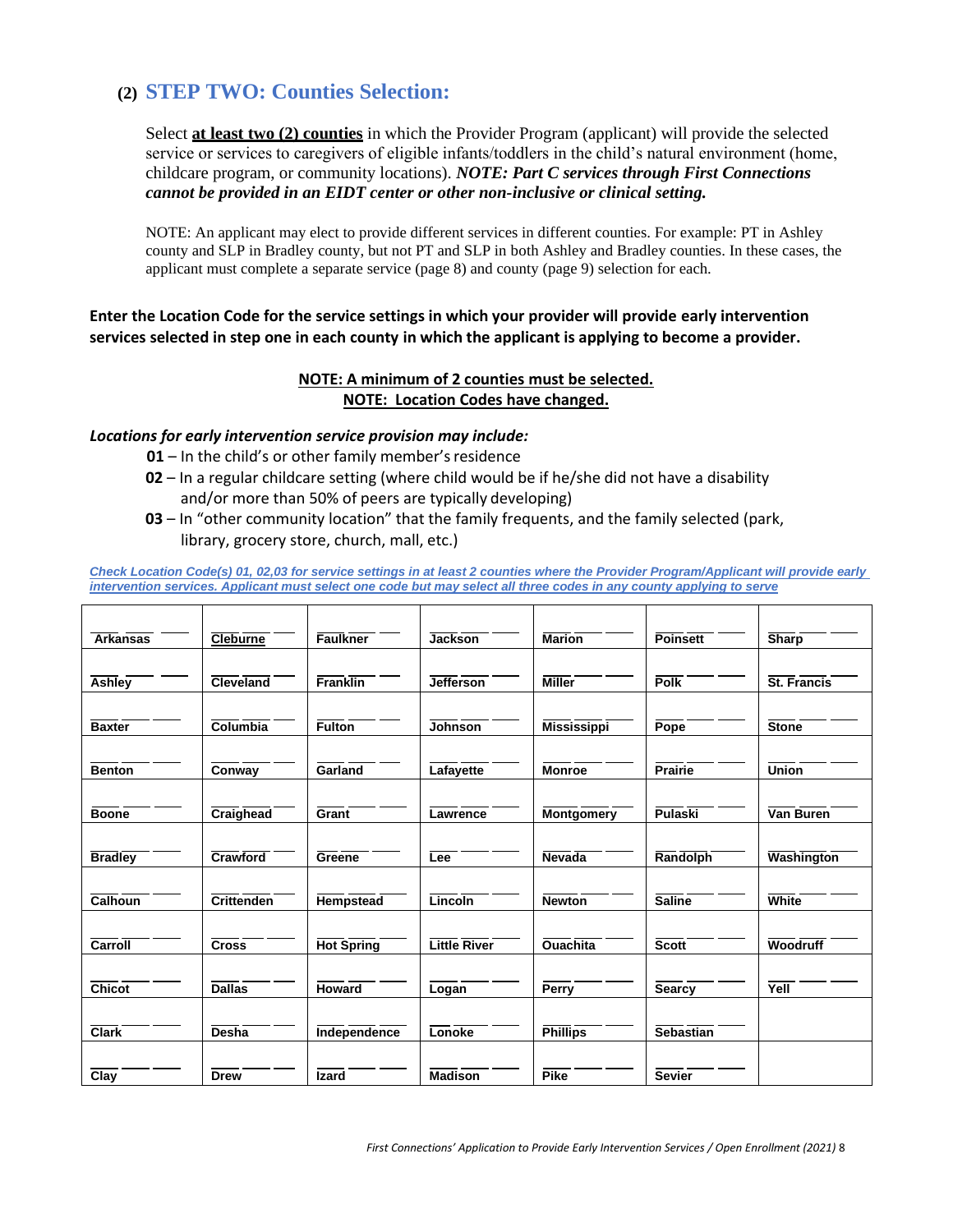## **(2) STEP TWO: Counties Selection:**

Select **at least two (2) counties** in which the Provider Program (applicant) will provide the selected service or services to caregivers of eligible infants/toddlers in the child's natural environment (home, childcare program, or community locations). *NOTE: Part C services through First Connections cannot be provided in an EIDT center or other non-inclusive or clinical setting.*

NOTE: An applicant may elect to provide different services in different counties. For example: PT in Ashley county and SLP in Bradley county, but not PT and SLP in both Ashley and Bradley counties. In these cases, the applicant must complete a separate service (page 8) and county (page 9) selection for each.

**Enter the Location Code for the service settings in which your provider will provide early intervention services selected in step one in each county in which the applicant is applying to become a provider.**

#### **NOTE: A minimum of 2 counties must be selected. NOTE: Location Codes have changed.**

#### *Locations for early intervention service provision may include:*

- **01** In the child's or other family member's residence
- **02** In a regular childcare setting (where child would be if he/she did not have a disability and/or more than 50% of peers are typically developing)
- **03** In "other community location" that the family frequents, and the family selected (park, library, grocery store, church, mall, etc.)

*Check Location Code(s) 01, 02,03 for service settings in at least 2 counties where the Provider Program/Applicant will provide early intervention services. Applicant must select one code but may select all three codes in any county applying to serve*

| <b>Arkansas</b>     | <b>Cleburne</b>              | <b>Faulkner</b>   | <b>Jackson</b>      | Marion             | <b>Poinsett</b>  | Sharp             |
|---------------------|------------------------------|-------------------|---------------------|--------------------|------------------|-------------------|
|                     |                              |                   |                     |                    |                  |                   |
| Ashley              | Cleveland                    | <b>Franklin</b>   | <b>Jefferson</b>    | <b>Miller</b>      | <b>Polk</b>      | St. Francis       |
|                     |                              |                   |                     |                    |                  |                   |
| <b>Baxter</b>       | Columbia                     | <b>Fulton</b>     | <b>Johnson</b>      | <b>Mississippi</b> | <b>Pope</b>      | <b>Stone</b>      |
|                     |                              |                   |                     |                    |                  |                   |
| <b>Benton</b>       | Conway                       | Garland           | Lafayette           | <b>Monroe</b>      | <b>Prairie</b>   | <b>Union</b>      |
|                     |                              |                   |                     |                    |                  |                   |
|                     |                              |                   |                     |                    |                  |                   |
| <b>Boone</b>        | <b>Craighead</b>             | Grant             | Lawrence            | <b>Montgomery</b>  | <b>Pulaski</b>   | Van Buren         |
|                     |                              |                   |                     |                    |                  |                   |
| <b>Bradley</b>      | Crawford                     | Greene            | Lee                 | <b>Nevada</b>      | <b>Randolph</b>  | <b>Washington</b> |
|                     |                              |                   |                     |                    |                  |                   |
| <b>Calhoun</b>      | <b>Crittenden</b>            | Hempstead         | Lincoln             | <b>Newton</b>      | Saline           | <b>White</b>      |
|                     |                              |                   |                     |                    |                  |                   |
| Carroll             | <b>Cross</b>                 | <b>Hot Spring</b> | <b>Little River</b> | <b>Ouachita</b>    | <b>Scott</b>     | <b>Woodruff</b>   |
|                     |                              |                   |                     |                    |                  |                   |
| $\overline{Chicot}$ | $\overline{\mathsf{Dallas}}$ | <b>Howard</b>     | Logan               | <b>Perry</b>       | Searcy           | Yell              |
|                     |                              |                   |                     |                    |                  |                   |
|                     |                              |                   |                     |                    |                  |                   |
| <b>Clark</b>        | <b>Desha</b>                 | Independence      | Lonoke              | <b>Phillips</b>    | <b>Sebastian</b> |                   |
|                     |                              |                   |                     |                    |                  |                   |
| $\overline{Clay}$   | <b>Drew</b>                  | Izard             | <b>Madison</b>      | <b>Pike</b>        | <b>Sevier</b>    |                   |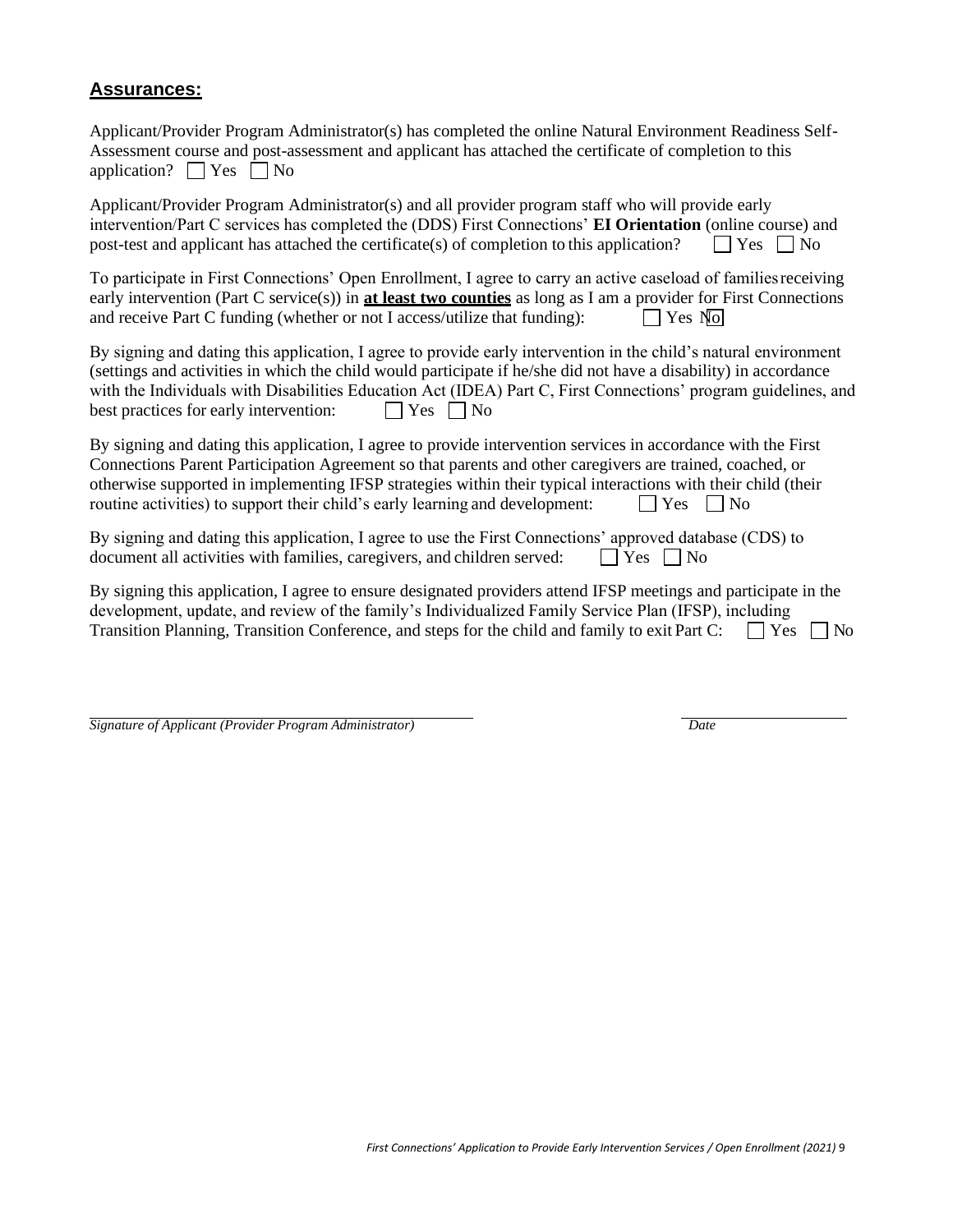#### **Assurances:**

Applicant/Provider Program Administrator(s) has completed the online Natural Environment Readiness Self-Assessment course and post-assessment and applicant has attached the certificate of completion to this application?  $\Box$  Yes  $\Box$  No

Applicant/Provider Program Administrator(s) and all provider program staff who will provide early intervention/Part C services has completed the (DDS) First Connections' **EI Orientation** (online course) and post-test and applicant has attached the certificate(s) of completion to this application?  $\Box$  Yes  $\Box$  No

To participate in First Connections' Open Enrollment, I agree to carry an active caseload of familiesreceiving early intervention (Part C service(s)) in **at least two counties** as long as I am a provider for First Connections and receive Part C funding (whether or not I access/utilize that funding):  $\Box$  Yes No

By signing and dating this application, I agree to provide early intervention in the child's natural environment (settings and activities in which the child would participate if he/she did not have a disability) in accordance with the Individuals with Disabilities Education Act (IDEA) Part C, First Connections' program guidelines, and best practices for early intervention:  $\Box$  Yes  $\Box$  No

By signing and dating this application, I agree to provide intervention services in accordance with the First Connections Parent Participation Agreement so that parents and other caregivers are trained, coached, or otherwise supported in implementing IFSP strategies within their typical interactions with their child (their routine activities) to support their child's early learning and development:  $\Box$  Yes  $\Box$  No

By signing and dating this application, I agree to use the First Connections' approved database (CDS) to document all activities with families, caregivers, and children served:  $\Box$  Yes  $\Box$  No

By signing this application, I agree to ensure designated providers attend IFSP meetings and participate in the development, update, and review of the family's Individualized Family Service Plan (IFSP), including Transition Planning, Transition Conference, and steps for the child and family to exit Part C:  $\Box$  Yes  $\Box$  No

| Signature of Applicant (Provider Program Administrator) | Date |
|---------------------------------------------------------|------|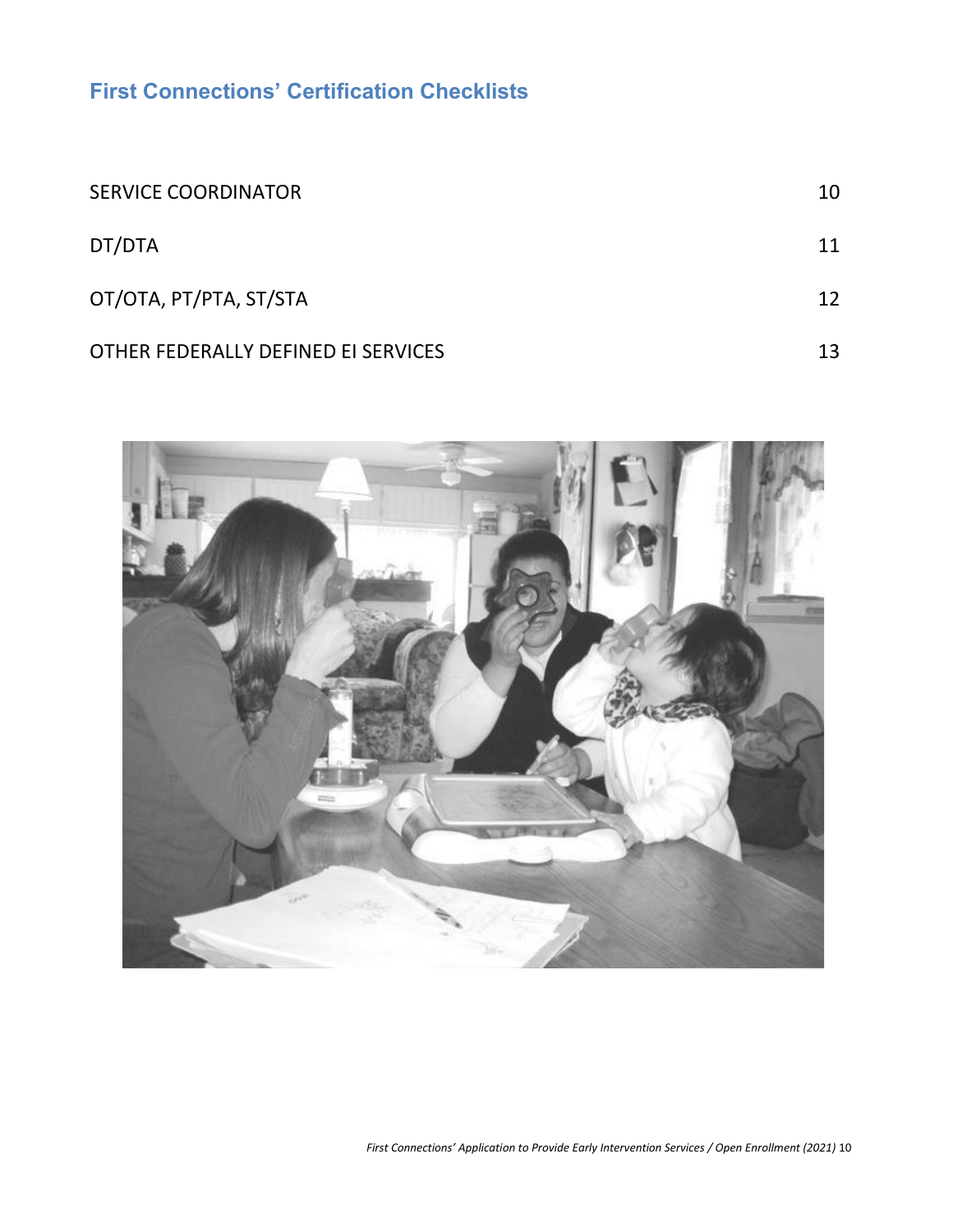**First Connections' Certification Checklists**

| <b>SERVICE COORDINATOR</b>          | 10 |
|-------------------------------------|----|
| DT/DTA                              | 11 |
| ОТ/ОТА, РТ/РТА, ST/STA              | 12 |
| OTHER FEDERALLY DEFINED EI SERVICES | 13 |

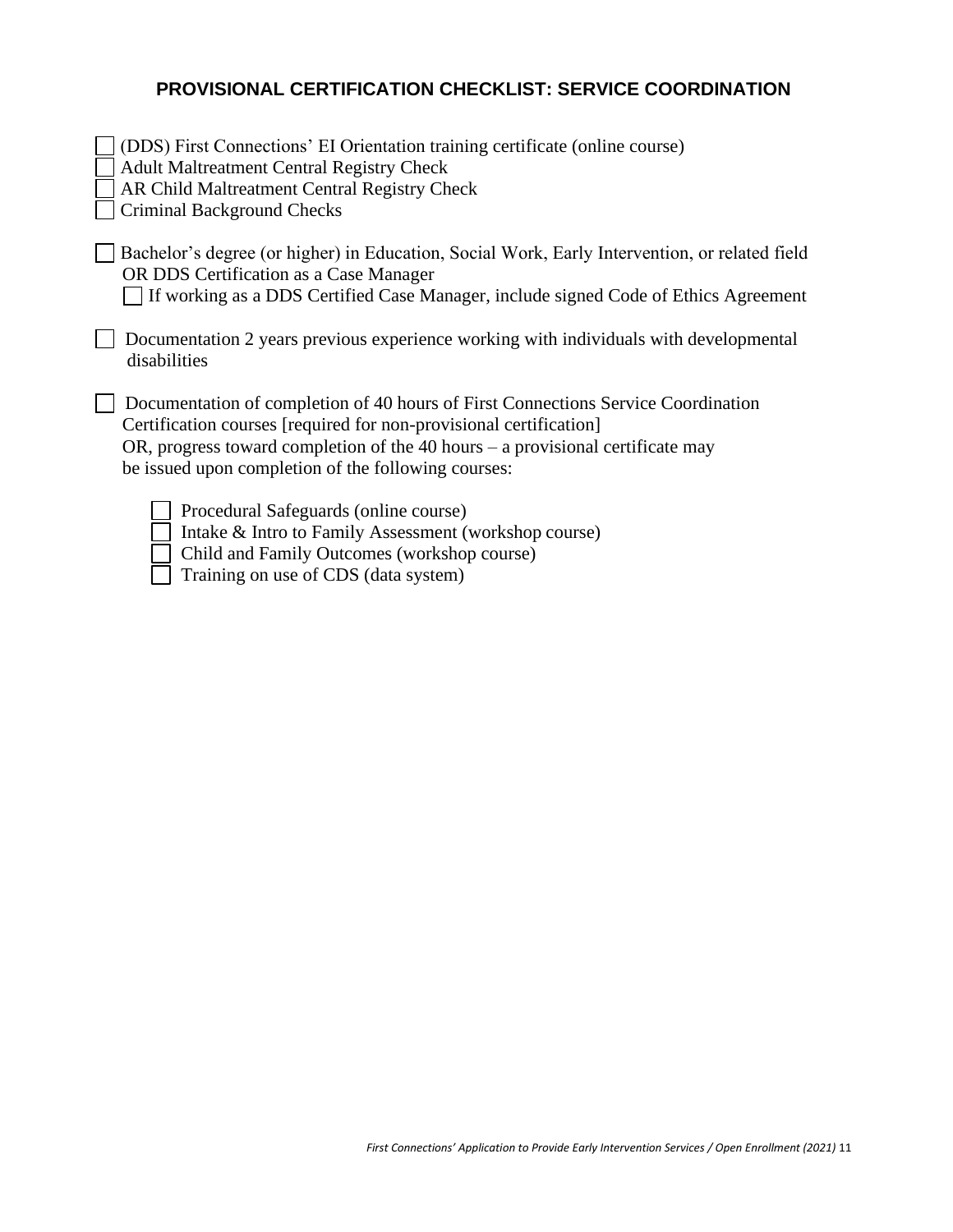# **PROVISIONAL CERTIFICATION CHECKLIST: SERVICE COORDINATION**

| (DDS) First Connections' EI Orientation training certificate (online course)<br><b>Adult Maltreatment Central Registry Check</b><br>AR Child Maltreatment Central Registry Check<br><b>Criminal Background Checks</b>                                                                              |
|----------------------------------------------------------------------------------------------------------------------------------------------------------------------------------------------------------------------------------------------------------------------------------------------------|
| Bachelor's degree (or higher) in Education, Social Work, Early Intervention, or related field<br>OR DDS Certification as a Case Manager<br>If working as a DDS Certified Case Manager, include signed Code of Ethics Agreement                                                                     |
| Documentation 2 years previous experience working with individuals with developmental<br>disabilities                                                                                                                                                                                              |
| Documentation of completion of 40 hours of First Connections Service Coordination<br>Certification courses [required for non-provisional certification]<br>OR, progress toward completion of the 40 hours $-$ a provisional certificate may<br>be issued upon completion of the following courses: |
| Procedural Safeguards (online course)<br>Intake & Intro to Family Assessment (workshop course)<br>Child and Family Outcomes (workshop course)                                                                                                                                                      |

Training on use of CDS (data system)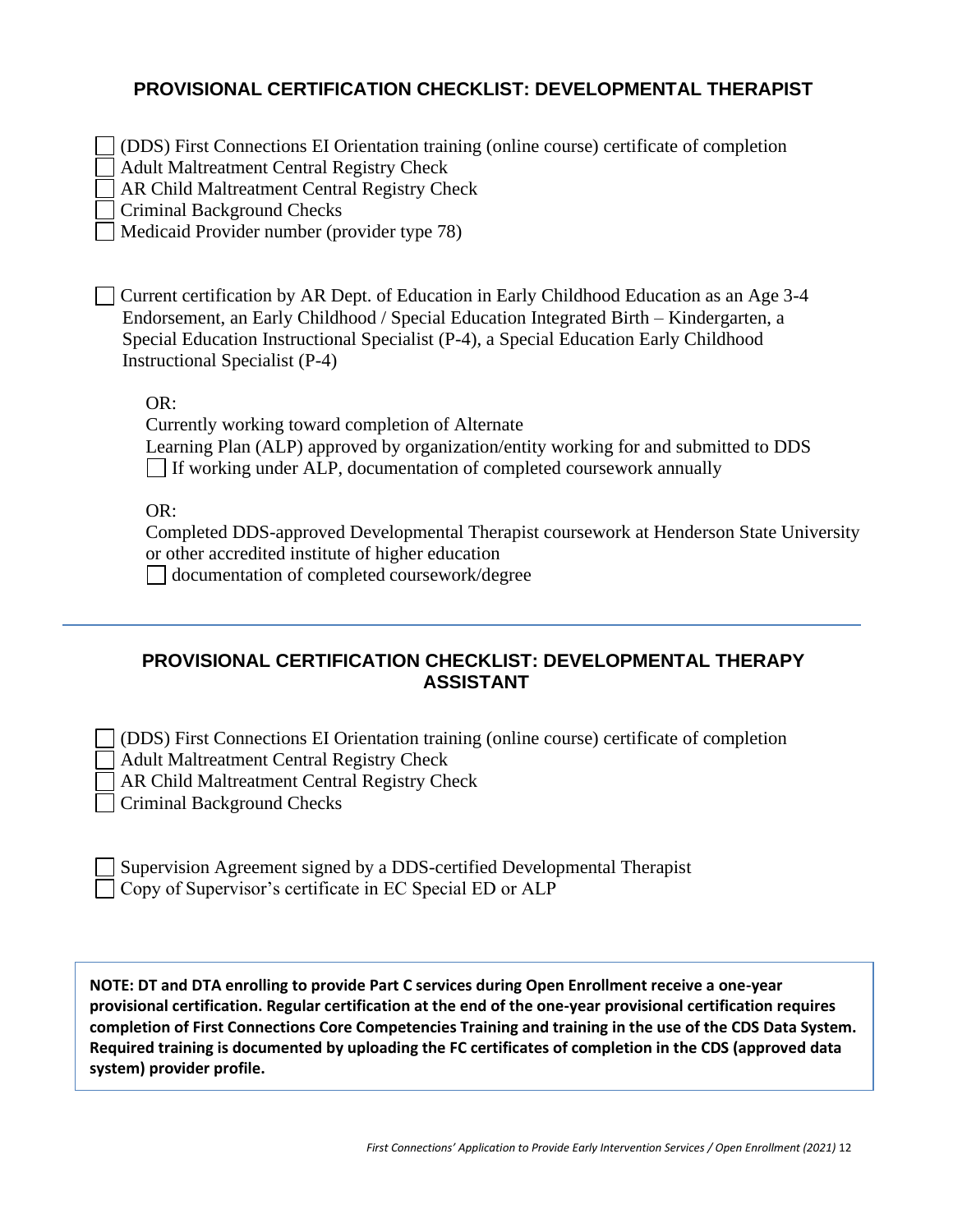### **PROVISIONAL CERTIFICATION CHECKLIST: DEVELOPMENTAL THERAPIST**

(DDS) First Connections EI Orientation training (online course) certificate of completion

| <b>Adult Maltreatment Central Registry Check</b><br>AR Child Maltreatment Central Registry Check                                                                                                                                                                                                               |
|----------------------------------------------------------------------------------------------------------------------------------------------------------------------------------------------------------------------------------------------------------------------------------------------------------------|
| Criminal Background Checks                                                                                                                                                                                                                                                                                     |
| Medicaid Provider number (provider type 78)                                                                                                                                                                                                                                                                    |
| Current certification by AR Dept. of Education in Early Childhood Education as an Age 3-4<br>Endorsement, an Early Childhood / Special Education Integrated Birth – Kindergarten, a<br>Special Education Instructional Specialist (P-4), a Special Education Early Childhood<br>Instructional Specialist (P-4) |
| OR:                                                                                                                                                                                                                                                                                                            |
| Currently working toward completion of Alternate                                                                                                                                                                                                                                                               |
| Learning Plan (ALP) approved by organization/entity working for and submitted to DDS                                                                                                                                                                                                                           |
| If working under ALP, documentation of completed coursework annually                                                                                                                                                                                                                                           |
| OR:                                                                                                                                                                                                                                                                                                            |
| Completed DDS-approved Developmental Therapist coursework at Henderson State University                                                                                                                                                                                                                        |
| or other accredited institute of higher education                                                                                                                                                                                                                                                              |
| documentation of completed coursework/degree                                                                                                                                                                                                                                                                   |

### **PROVISIONAL CERTIFICATION CHECKLIST: DEVELOPMENTAL THERAPY ASSISTANT**

| (DDS) First Connections EI Orientation training (online course) certificate of completion |  |
|-------------------------------------------------------------------------------------------|--|
| Adult Maltreatment Central Registry Check                                                 |  |
| <b>AR Child Maltreatment Central Registry Check</b>                                       |  |
| <b>Criminal Background Checks</b>                                                         |  |

| Supervision Agreement signed by a DDS-certified Developmental Therapist |  |
|-------------------------------------------------------------------------|--|
| $\Box$ Copy of Supervisor's certificate in EC Special ED or ALP         |  |

**NOTE: DT and DTA enrolling to provide Part C services during Open Enrollment receive a one-year provisional certification. Regular certification at the end of the one-year provisional certification requires completion of First Connections Core Competencies Training and training in the use of the CDS Data System. Required training is documented by uploading the FC certificates of completion in the CDS (approved data system) provider profile.**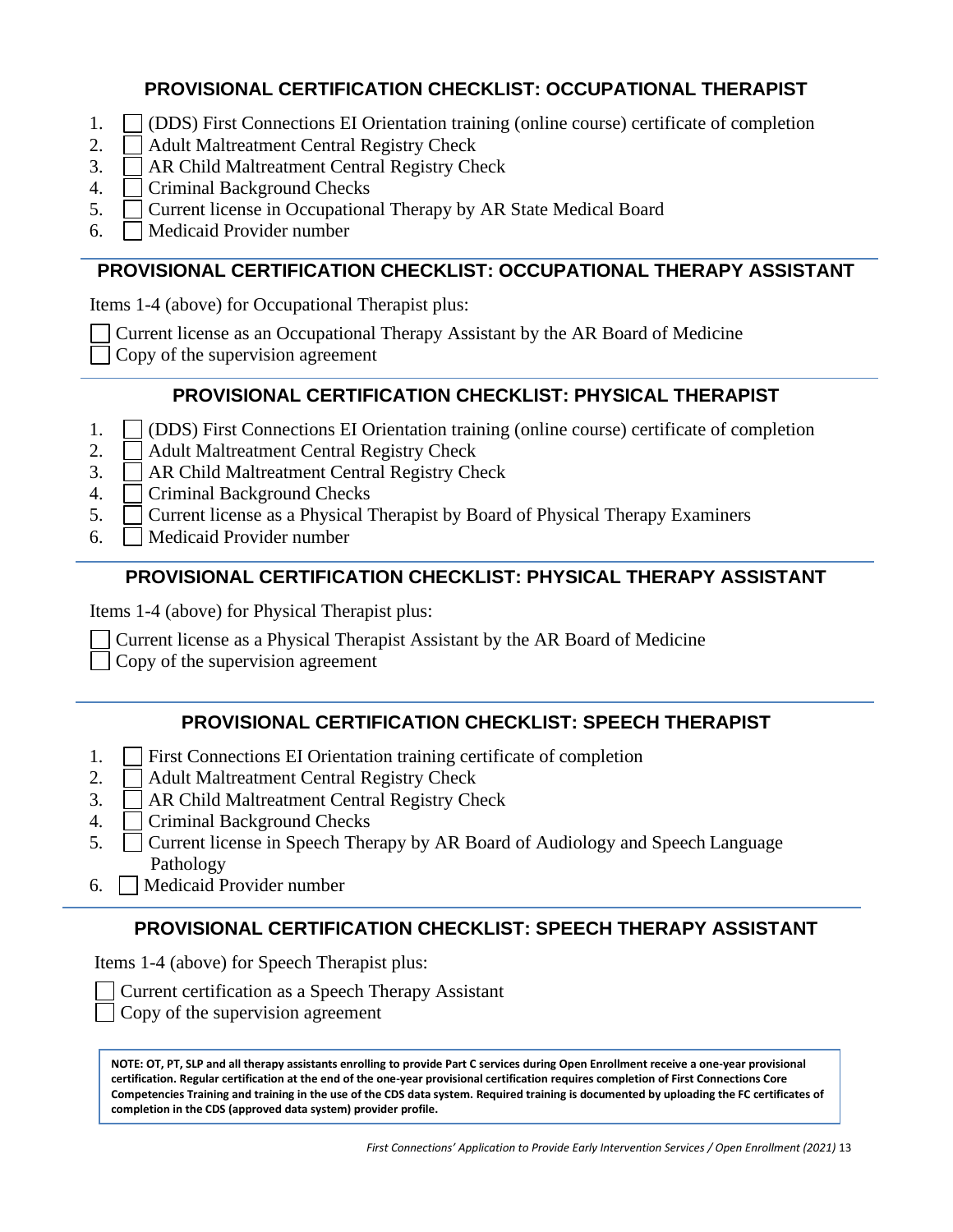### **PROVISIONAL CERTIFICATION CHECKLIST: OCCUPATIONAL THERAPIST**

- 1. (DDS) First Connections EI Orientation training (online course) certificate of completion
- 2. Adult Maltreatment Central Registry Check
- 3. AR Child Maltreatment Central Registry Check
- 4. Criminal Background Checks
- 5. Current license in Occupational Therapy by AR State Medical Board
- 6. Medicaid Provider number

### **PROVISIONAL CERTIFICATION CHECKLIST: OCCUPATIONAL THERAPY ASSISTANT**

Items 1-4 (above) for Occupational Therapist plus:

Current license as an Occupational Therapy Assistant by the AR Board of Medicine

Copy of the supervision agreement

## **PROVISIONAL CERTIFICATION CHECKLIST: PHYSICAL THERAPIST**

- 1. (DDS) First Connections EI Orientation training (online course) certificate of completion
- 2. Adult Maltreatment Central Registry Check
- 3. AR Child Maltreatment Central Registry Check
- 4. | Criminal Background Checks
- 5. Current license as a Physical Therapist by Board of Physical Therapy Examiners
- 6. Medicaid Provider number

## **PROVISIONAL CERTIFICATION CHECKLIST: PHYSICAL THERAPY ASSISTANT**

Items 1-4 (above) for Physical Therapist plus:

Current license as a Physical Therapist Assistant by the AR Board of Medicine

Copy of the supervision agreement

## **PROVISIONAL CERTIFICATION CHECKLIST: SPEECH THERAPIST**

- 1. First Connections EI Orientation training certificate of completion
- 2. Adult Maltreatment Central Registry Check
- 3. AR Child Maltreatment Central Registry Check
- 4. Criminal Background Checks
- 5. Current license in Speech Therapy by AR Board of Audiology and Speech Language Pathology
- 6. Medicaid Provider number

# **PROVISIONAL CERTIFICATION CHECKLIST: SPEECH THERAPY ASSISTANT**

Items 1-4 (above) for Speech Therapist plus:

Copy of the supervision agreement

**Certification. Regular certification at the end of the one-year provisional certification requires completion of First Connections Core NOTE: OT, PT, SLP and all therapy assistants enrolling to provide Part C services during Open Enrollment receive a one-year provisional Competencies Training and training in the use of the CDS data system. Required training is documented by uploading the FC certificates of completion in the CDS (approved data system) provider profile.**